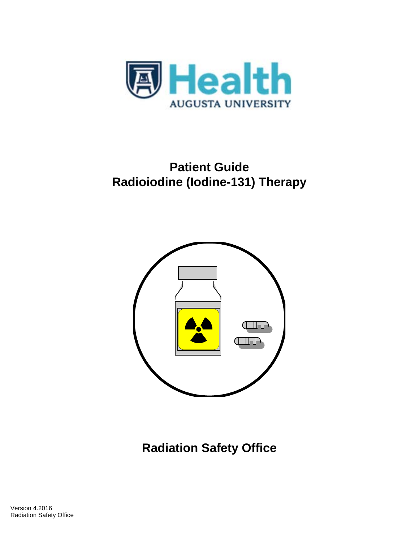

# **Patient Guide Radioiodine (Iodine-131) Therapy**



**Radiation Safety Office**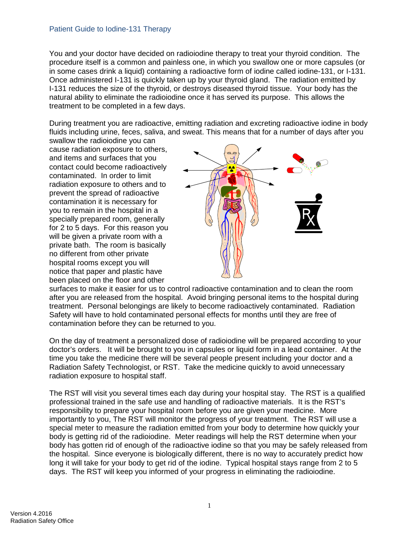#### Patient Guide to Iodine-131 Therapy

You and your doctor have decided on radioiodine therapy to treat your thyroid condition. The procedure itself is a common and painless one, in which you swallow one or more capsules (or in some cases drink a liquid) containing a radioactive form of iodine called iodine-131, or I-131. Once administered I-131 is quickly taken up by your thyroid gland. The radiation emitted by I-131 reduces the size of the thyroid, or destroys diseased thyroid tissue. Your body has the natural ability to eliminate the radioiodine once it has served its purpose. This allows the treatment to be completed in a few days.

During treatment you are radioactive, emitting radiation and excreting radioactive iodine in body fluids including urine, feces, saliva, and sweat. This means that for a number of days after you

swallow the radioiodine you can cause radiation exposure to others, and items and surfaces that you contact could become radioactively contaminated. In order to limit radiation exposure to others and to prevent the spread of radioactive contamination it is necessary for you to remain in the hospital in a specially prepared room, generally for 2 to 5 days. For this reason you will be given a private room with a private bath. The room is basically no different from other private hospital rooms except you will notice that paper and plastic have been placed on the floor and other



surfaces to make it easier for us to control radioactive contamination and to clean the room after you are released from the hospital. Avoid bringing personal items to the hospital during treatment. Personal belongings are likely to become radioactively contaminated. Radiation Safety will have to hold contaminated personal effects for months until they are free of contamination before they can be returned to you.

On the day of treatment a personalized dose of radioiodine will be prepared according to your doctor's orders. It will be brought to you in capsules or liquid form in a lead container. At the time you take the medicine there will be several people present including your doctor and a Radiation Safety Technologist, or RST. Take the medicine quickly to avoid unnecessary radiation exposure to hospital staff.

The RST will visit you several times each day during your hospital stay. The RST is a qualified professional trained in the safe use and handling of radioactive materials. It is the RST's responsibility to prepare your hospital room before you are given your medicine. More importantly to you, The RST will monitor the progress of your treatment. The RST will use a special meter to measure the radiation emitted from your body to determine how quickly your body is getting rid of the radioiodine. Meter readings will help the RST determine when your body has gotten rid of enough of the radioactive iodine so that you may be safely released from the hospital. Since everyone is biologically different, there is no way to accurately predict how long it will take for your body to get rid of the iodine. Typical hospital stays range from 2 to 5 days. The RST will keep you informed of your progress in eliminating the radioiodine.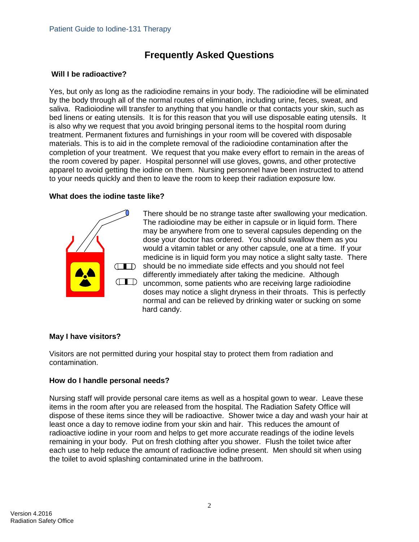# **Frequently Asked Questions**

#### **Will I be radioactive?**

Yes, but only as long as the radioiodine remains in your body. The radioiodine will be eliminated by the body through all of the normal routes of elimination, including urine, feces, sweat, and saliva. Radioiodine will transfer to anything that you handle or that contacts your skin, such as bed linens or eating utensils. It is for this reason that you will use disposable eating utensils. It is also why we request that you avoid bringing personal items to the hospital room during treatment. Permanent fixtures and furnishings in your room will be covered with disposable materials. This is to aid in the complete removal of the radioiodine contamination after the completion of your treatment. We request that you make every effort to remain in the areas of the room covered by paper. Hospital personnel will use gloves, gowns, and other protective apparel to avoid getting the iodine on them. Nursing personnel have been instructed to attend to your needs quickly and then to leave the room to keep their radiation exposure low.

#### **What does the iodine taste like?**



There should be no strange taste after swallowing your medication. The radioiodine may be either in capsule or in liquid form. There may be anywhere from one to several capsules depending on the dose your doctor has ordered. You should swallow them as you would a vitamin tablet or any other capsule, one at a time. If your medicine is in liquid form you may notice a slight salty taste. There should be no immediate side effects and you should not feel differently immediately after taking the medicine. Although **THE UNITED** uncommon, some patients who are receiving large radioiodine doses may notice a slight dryness in their throats. This is perfectly normal and can be relieved by drinking water or sucking on some hard candy.

# **May I have visitors?**

Visitors are not permitted during your hospital stay to protect them from radiation and contamination.

# **How do I handle personal needs?**

Nursing staff will provide personal care items as well as a hospital gown to wear. Leave these items in the room after you are released from the hospital. The Radiation Safety Office will dispose of these items since they will be radioactive. Shower twice a day and wash your hair at least once a day to remove iodine from your skin and hair. This reduces the amount of radioactive iodine in your room and helps to get more accurate readings of the iodine levels remaining in your body. Put on fresh clothing after you shower. Flush the toilet twice after each use to help reduce the amount of radioactive iodine present. Men should sit when using the toilet to avoid splashing contaminated urine in the bathroom.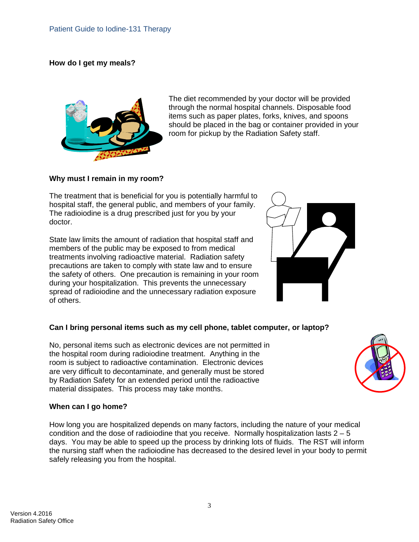#### **How do I get my meals?**



The diet recommended by your doctor will be provided through the normal hospital channels. Disposable food items such as paper plates, forks, knives, and spoons should be placed in the bag or container provided in your room for pickup by the Radiation Safety staff.

#### **Why must I remain in my room?**

The treatment that is beneficial for you is potentially harmful to hospital staff, the general public, and members of your family. The radioiodine is a drug prescribed just for you by your doctor.

State law limits the amount of radiation that hospital staff and members of the public may be exposed to from medical treatments involving radioactive material. Radiation safety precautions are taken to comply with state law and to ensure the safety of others. One precaution is remaining in your room during your hospitalization. This prevents the unnecessary spread of radioiodine and the unnecessary radiation exposure of others.



# **Can I bring personal items such as my cell phone, tablet computer, or laptop?**

No, personal items such as electronic devices are not permitted in the hospital room during radioiodine treatment. Anything in the room is subject to radioactive contamination. Electronic devices are very difficult to decontaminate, and generally must be stored by Radiation Safety for an extended period until the radioactive material dissipates. This process may take months.



#### **When can I go home?**

How long you are hospitalized depends on many factors, including the nature of your medical condition and the dose of radioiodine that you receive. Normally hospitalization lasts  $2 - 5$ days. You may be able to speed up the process by drinking lots of fluids. The RST will inform the nursing staff when the radioiodine has decreased to the desired level in your body to permit safely releasing you from the hospital.